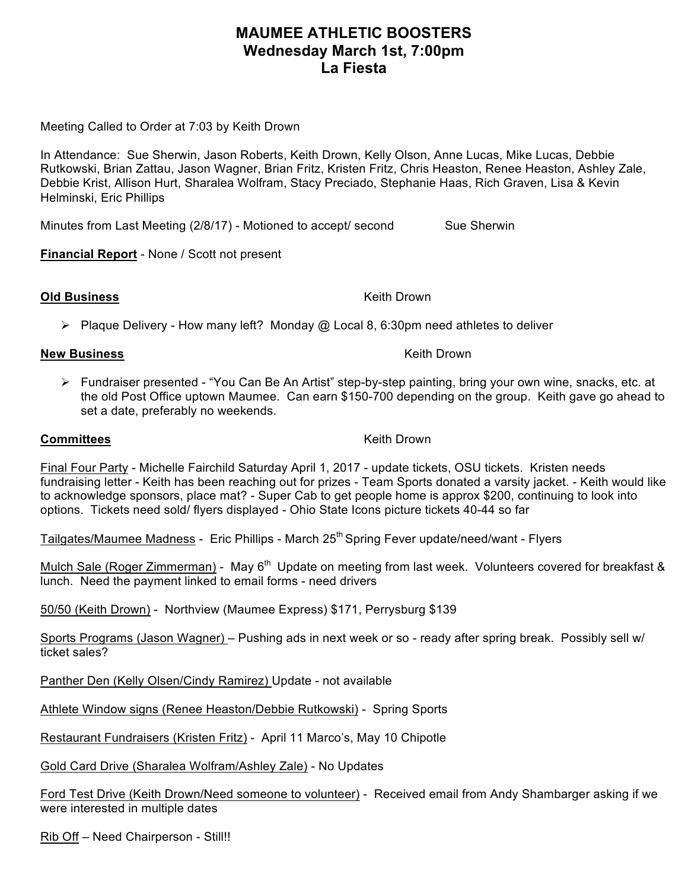## **MAUMEE ATHLETIC BOOSTERS Wednesday March 1st, 7:00pm La Fiesta**

Meeting Called to Order at 7:03 by Keith Drown

In Attendance: Sue Sherwin, Jason Roberts, Keith Drown, Kelly Olson, Anne Lucas, Mike Lucas, Debbie Rutkowski, Brian Zattau, Jason Wagner, Brian Fritz, Kristen Fritz, Chris Heaston, Renee Heaston, Ashley Zale, Debbie Krist, Allison Hurt, Sharalea Wolfram, Stacy Preciado, Stephanie Haas, Rich Graven, Lisa & Kevin Helminski, Eric Phillips

Minutes from Last Meeting (2/8/17) - Motioned to accept/ second Sue Sherwin

**Financial Report** - None / Scott not present

**Old Business** Keith Drown

 $\triangleright$  Plaque Delivery - How many left? Monday @ Local 8, 6:30pm need athletes to deliver

## **New Business** Keith Drown New York 1999, New York 1999, New York 1999, New York 1999, New York 1999, New York 19

Ø Fundraiser presented - "You Can Be An Artist" step-by-step painting, bring your own wine, snacks, etc. at the old Post Office uptown Maumee. Can earn \$150-700 depending on the group. Keith gave go ahead to set a date, preferably no weekends.

## **Committees** Keith Drown

Final Four Party - Michelle Fairchild Saturday April 1, 2017 - update tickets, OSU tickets. Kristen needs fundraising letter - Keith has been reaching out for prizes - Team Sports donated a varsity jacket. - Keith would like to acknowledge sponsors, place mat? - Super Cab to get people home is approx \$200, continuing to look into options. Tickets need sold/ flyers displayed - Ohio State Icons picture tickets 40-44 so far

Tailgates/Maumee Madness - Eric Phillips - March 25<sup>th</sup> Spring Fever update/need/want - Flyers

Mulch Sale (Roger Zimmerman) - May 6<sup>th</sup> Update on meeting from last week. Volunteers covered for breakfast & lunch. Need the payment linked to email forms - need drivers

50/50 (Keith Drown) - Northview (Maumee Express) \$171, Perrysburg \$139

Sports Programs (Jason Wagner) – Pushing ads in next week or so - ready after spring break. Possibly sell w/ ticket sales?

Panther Den (Kelly Olsen/Cindy Ramirez) Update - not available

Athlete Window signs (Renee Heaston/Debbie Rutkowski) - Spring Sports

Restaurant Fundraisers (Kristen Fritz) - April 11 Marco's, May 10 Chipotle

Gold Card Drive (Sharalea Wolfram/Ashley Zale) - No Updates

Ford Test Drive (Keith Drown/Need someone to volunteer) - Received email from Andy Shambarger asking if we were interested in multiple dates

Rib Off – Need Chairperson - Still!!